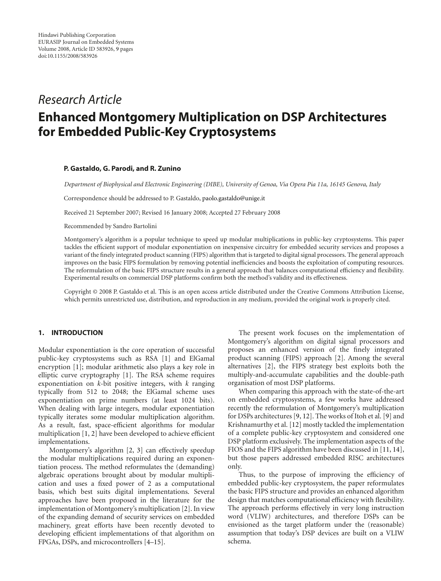# *Research Article*

# **Enhanced Montgomery Multiplication on DSP Architectures for Embedded Public-Key Cryptosystems**

# **P. Gastaldo, G. Parodi, and R. Zunino**

*Department of Biophysical and Electronic Engineering (DIBE), University of Genoa, Via Opera Pia 11a, 16145 Genova, Italy*

Correspondence should be addressed to P. Gastaldo, paolo.gastaldo@unige.it

Received 21 September 2007; Revised 16 January 2008; Accepted 27 February 2008

Recommended by Sandro Bartolini

Montgomery's algorithm is a popular technique to speed up modular multiplications in public-key cryptosystems. This paper tackles the efficient support of modular exponentiation on inexpensive circuitry for embedded security services and proposes a variant of the finely integrated product scanning (FIPS) algorithm that is targeted to digital signal processors. The general approach improves on the basic FIPS formulation by removing potential inefficiencies and boosts the exploitation of computing resources. The reformulation of the basic FIPS structure results in a general approach that balances computational efficiency and flexibility. Experimental results on commercial DSP platforms confirm both the method's validity and its effectiveness.

Copyright © 2008 P. Gastaldo et al. This is an open access article distributed under the Creative Commons Attribution License, which permits unrestricted use, distribution, and reproduction in any medium, provided the original work is properly cited.

## **1. INTRODUCTION**

Modular exponentiation is the core operation of successful public-key cryptosystems such as RSA [1] and ElGamal encryption [1]; modular arithmetic also plays a key role in elliptic curve cryptography [1]. The RSA scheme requires exponentiation on *k*-bit positive integers, with *k* ranging typically from 512 to 2048; the ElGamal scheme uses exponentiation on prime numbers (at least 1024 bits). When dealing with large integers, modular exponentiation typically iterates some modular multiplication algorithm. As a result, fast, space-efficient algorithms for modular multiplication [1, 2] have been developed to achieve efficient implementations.

Montgomery's algorithm [2, 3] can effectively speedup the modular multiplications required during an exponentiation process. The method reformulates the (demanding) algebraic operations brought about by modular multiplication and uses a fixed power of 2 as a computational basis, which best suits digital implementations. Several approaches have been proposed in the literature for the implementation of Montgomery's multiplication [2]. In view of the expanding demand of security services on embedded machinery, great efforts have been recently devoted to developing efficient implementations of that algorithm on FPGAs, DSPs, and microcontrollers [4–15].

The present work focuses on the implementation of Montgomery's algorithm on digital signal processors and proposes an enhanced version of the finely integrated product scanning (FIPS) approach [2]. Among the several alternatives [2], the FIPS strategy best exploits both the multiply-and-accumulate capabilities and the double-path organisation of most DSP platforms.

When comparing this approach with the state-of-the-art on embedded cryptosystems, a few works have addressed recently the reformulation of Montgomery's multiplication for DSPs architectures [9, 12]. The works of Itoh et al. [9] and Krishnamurthy et al. [12] mostly tackled the implementation of a complete public-key cryptosystem and considered one DSP platform exclusively. The implementation aspects of the FIOS and the FIPS algorithm have been discussed in [11, 14], but those papers addressed embedded RISC architectures only.

Thus, to the purpose of improving the efficiency of embedded public-key cryptosystem, the paper reformulates the basic FIPS structure and provides an enhanced algorithm design that matches computational efficiency with flexibility. The approach performs effectively in very long instruction word (VLIW) architectures, and therefore DSPs can be envisioned as the target platform under the (reasonable) assumption that today's DSP devices are built on a VLIW schema.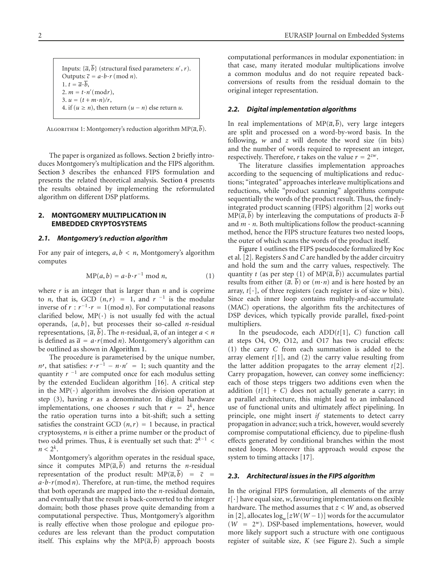Inputs:  $\{\overline{a}, b\}$  (structural fixed parameters: *n'*, *r*). Outputs:  $\overline{c} = a \cdot b \cdot r \pmod{n}$ . 1.  $t = \overline{a} \cdot \overline{b}$ , 2.  $m = t \cdot n' \pmod{r}$ , 3.  $u = (t + m \cdot n)/r$ , 4. if ( $u \ge n$ ), then return ( $u - n$ ) else return *u*.

Algorithm 1: Montgomery's reduction algorithm MP(*a*, *b*).

The paper is organized as follows. Section 2 briefly introduces Montgomery's multiplication and the FIPS algorithm. Section 3 describes the enhanced FIPS formulation and presents the related theoretical analysis. Section 4 presents the results obtained by implementing the reformulated algorithm on different DSP platforms.

# **2. MONTGOMERY MULTIPLICATION IN EMBEDDED CRYPTOSYSTEMS**

#### *2.1. Montgomery's reduction algorithm*

For any pair of integers,  $a, b < n$ , Montgomery's algorithm computes

$$
MP(a, b) = a \cdot b \cdot r^{-1} \bmod n, \tag{1}
$$

where *r* is an integer that is larger than *n* and is coprime to *n*, that is, GCD  $(n, r) = 1$ , and  $r^{-1}$  is the modular inverse of  $r : r^{-1} \cdot r = 1 \pmod{n}$ . For computational reasons clarified below,  $MP(\cdot)$  is not usually fed with the actual operands, {*a*, *b*}, but processes their so-called *n*-residual representations,  $\{\overline{a}, \overline{b}\}$ . The *n*-residual,  $\overline{a}$ , of an integer  $a < n$ is defined as  $\bar{a} = a \cdot r \pmod{n}$ . Montgomery's algorithm can be outlined as shown in Algorithm 1.

The procedure is parameterised by the unique number,  $n'$ , that satisfies:  $r \cdot r^{-1} - n \cdot n' = 1$ ; such quantity and the quantity *r*<sup>-1</sup> are computed once for each modulus setting by the extended Euclidean algorithm [16]. A critical step in the  $MP(\cdot)$  algorithm involves the division operation at step (3), having *r* as a denominator. In digital hardware implementations, one chooses *r* such that  $r = 2<sup>k</sup>$ , hence the ratio operation turns into a bit-shift; such a setting satisfies the constraint GCD  $(n, r) = 1$  because, in practical cryptosystems, *n* is either a prime number or the product of two odd primes. Thus, *k* is eventually set such that:  $2^{k-1}$  <  $n < 2^k$ .

Montgomery's algorithm operates in the residual space, since it computes  $MP(\overline{a}, b)$  and returns the *n*-residual representation of the product result:  $MP(\overline{a}, b) = \overline{c}$  $a \cdot b \cdot r \pmod{n}$ . Therefore, at run-time, the method requires that both operands are mapped into the *n*-residual domain, and eventually that the result is back-converted to the integer domain; both those phases prove quite demanding from a computational perspective. Thus, Montgomery's algorithm is really effective when those prologue and epilogue procedures are less relevant than the product computation itself. This explains why the  $MP(\overline{a}, \overline{b})$  approach boosts

computational performances in modular exponentiation: in that case, many iterated modular multiplications involve a common modulus and do not require repeated backconversions of results from the residual domain to the original integer representation.

#### *2.2. Digital implementation algorithms*

In real implementations of  $MP(\overline{a}, \overline{b})$ , very large integers are split and processed on a word-by-word basis. In the following, *w* and *z* will denote the word size (in bits) and the number of words required to represent an integer, respectively. Therefore, *r* takes on the value  $r = 2^{zw}$ .

The literature classifies implementation approaches according to the sequencing of multiplications and reductions; "integrated" approaches interleave multiplications and reductions, while "product scanning" algorithms compute sequentially the words of the product result. Thus, the finelyintegrated product scanning (FIPS) algorithm [2] works out  $MP(\overline{a}, \overline{b})$  by interleaving the computations of products  $\overline{a} \cdot \overline{b}$ and  $m \cdot n$ . Both multiplications follow the product-scanning method, hence the FIPS structure features two nested loops, the outer of which scans the words of the product itself.

Figure 1 outlines the FIPS pseudocode formalized by Koc et al. [2]. Registers *S* and *C* are handled by the adder circuitry and hold the sum and the carry values, respectively. The quantity *t* (as per step (1) of  $MP(\overline{a}, \overline{b})$  accumulates partial results from either  $(\overline{a}, \overline{b})$  or  $(m \cdot n)$  and is here hosted by an array, *t*[·], of three registers (each register is of size *w* bits). Since each inner loop contains multiply-and-accumulate (MAC) operations, the algorithm fits the architectures of DSP devices, which typically provide parallel, fixed-point multipliers.

In the pseudocode, each  $ADD(t[1], C)$  function call at steps O4, O9, O12, and O17 has two crucial effects: (1) the carry *C* from each summation is added to the array element *t*[1], and (2) the carry value resulting from the latter addition propagates to the array element *t*[2]. Carry propagation, however, can convey some inefficiency: each of those steps triggers two additions even when the addition  $(t[1] + C)$  does not actually generate a carry; in a parallel architecture, this might lead to an imbalanced use of functional units and ultimately affect pipelining. In principle, one might insert *if* statements to detect carry propagation in advance; such a trick, however, would severely compromise computational efficiency, due to pipeline-flush effects generated by conditional branches within the most nested loops. Moreover this approach would expose the system to timing attacks [17].

#### *2.3. Architectural issues in the FIPS algorithm*

In the original FIPS formulation, all elements of the array *t*[·] have equal size, *w*, favouring implementations on flexible hardware. The method assumes that  $z < W$  and, as observed in [2], allocates log*w*[*zW*(*W* −1)] words for the accumulator (*W* <sup>=</sup> 2*<sup>w</sup>*). DSP-based implementations, however, would more likely support such a structure with one contiguous register of suitable size, *K* (see Figure 2). Such a simple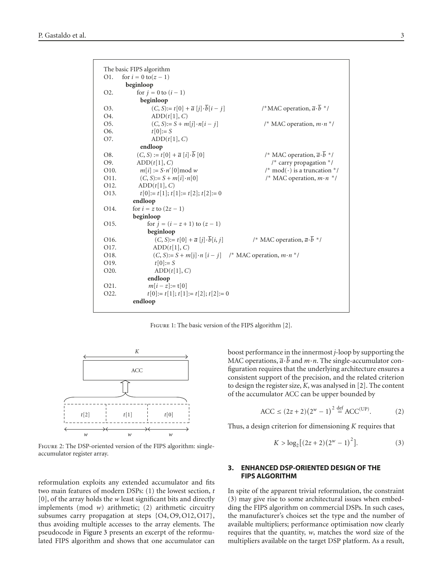

FIGURE 1: The basic version of the FIPS algorithm [2].



Figure 2: The DSP-oriented version of the FIPS algorithm: singleaccumulator register array.

reformulation exploits any extended accumulator and fits two main features of modern DSPs: (1) the lowest section, *t* [0], of the array holds the *w* least significant bits and directly implements (mod *w*) arithmetic; (2) arithmetic circuitry subsumes carry propagation at steps {O4, O9, O12, O17}, thus avoiding multiple accesses to the array elements. The pseudocode in Figure 3 presents an excerpt of the reformulated FIPS algorithm and shows that one accumulator can

boost performance in the innermost *j*-loop by supporting the MAC operations,  $\overline{a} \cdot b$  and  $m \cdot n$ . The single-accumulator configuration requires that the underlying architecture ensures a consistent support of the precision, and the related criterion to design the register size, *K*, was analysed in [2]. The content of the accumulator ACC can be upper bounded by

$$
ACC \le (2z + 2)(2w - 1)2 \stackrel{\text{def}}{=} ACC(UP).
$$
 (2)

Thus, a design criterion for dimensioning *K* requires that

$$
K > \log_2[(2z+2)(2^w-1)^2].
$$
 (3)

# **3. ENHANCED DSP-ORIENTED DESIGN OF THE FIPS ALGORITHM**

In spite of the apparent trivial reformulation, the constraint (3) may give rise to some architectural issues when embedding the FIPS algorithm on commercial DSPs. In such cases, the manufacturer's choices set the type and the number of available multipliers; performance optimisation now clearly requires that the quantity, *w*, matches the word size of the multipliers available on the target DSP platform. As a result,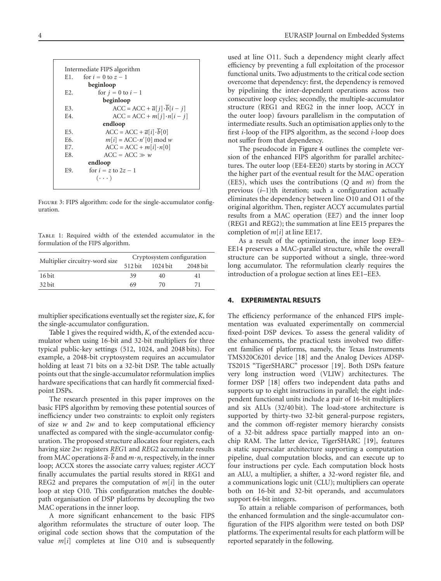|                  | Intermediate FIPS algorithm                  |  |  |
|------------------|----------------------------------------------|--|--|
| E1.              | for $i = 0$ to $z - 1$                       |  |  |
|                  | beginloop                                    |  |  |
| E <sub>2</sub> . | for $j = 0$ to $i - 1$                       |  |  |
|                  | beginloop                                    |  |  |
| E3.              | $ACC = ACC + \overline{a}[j] \cdot b[i - j]$ |  |  |
| E4               | $ACC = ACC + m[j] \cdot n[i - j]$            |  |  |
| endloop          |                                              |  |  |
| E <sub>5</sub> . | $ACC = ACC + \overline{a}[i] \cdot b[0]$     |  |  |
| F6.              | $m[i] = ACC·n'[0] \mod w$                    |  |  |
| E7.              | $ACC = ACC + m[i] \cdot n[0]$                |  |  |
| E8.              | $ACC = ACC \gg w$                            |  |  |
|                  | endloop                                      |  |  |
| E9.              | for $i = z$ to $2z - 1$                      |  |  |
|                  | $(\cdot \cdot \cdot)$                        |  |  |

FIGURE 3: FIPS algorithm: code for the single-accumulator configuration.

Table 1: Required width of the extended accumulator in the formulation of the FIPS algorithm.

| Multiplier circuitry-word size | Cryptosystem configuration |          |          |
|--------------------------------|----------------------------|----------|----------|
|                                | 512 bit                    | 1024 bit | 2048 bit |
| 16 bit                         | 39                         | 40       | 41       |
| 32 bit                         | 69                         | 70       | 71       |
|                                |                            |          |          |

multiplier specifications eventually set the register size, *K*, for the single-accumulator configuration.

Table 1 gives the required width, *K*, of the extended accumulator when using 16-bit and 32-bit multipliers for three typical public-key settings (512, 1024, and 2048 bits). For example, a 2048-bit cryptosystem requires an accumulator holding at least 71 bits on a 32-bit DSP. The table actually points out that the single-accumulator reformulation implies hardware specifications that can hardly fit commercial fixedpoint DSPs.

The research presented in this paper improves on the basic FIPS algorithm by removing these potential sources of inefficiency under two constraints: to exploit only registers of size *w* and 2*w* and to keep computational efficiency unaffected as compared with the single-accumulator configuration. The proposed structure allocates four registers, each having size 2*w*: registers *REG*1 and *REG*2 accumulate results from MAC operations  $\overline{a} \cdot b$  and  $m \cdot n$ , respectively, in the inner loop; ACCX stores the associate carry values; register *ACCY* finally accumulates the partial results stored in REG1 and REG2 and prepares the computation of  $m[i]$  in the outer loop at step O10. This configuration matches the doublepath organisation of DSP platforms by decoupling the two MAC operations in the inner loop.

A more significant enhancement to the basic FIPS algorithm reformulates the structure of outer loop. The original code section shows that the computation of the value *m*[*i*] completes at line O10 and is subsequently used at line O11. Such a dependency might clearly affect efficiency by preventing a full exploitation of the processor functional units. Two adjustments to the critical code section overcome that dependency: first, the dependency is removed by pipelining the inter-dependent operations across two consecutive loop cycles; secondly, the multiple-accumulator structure (REG1 and REG2 in the inner loop, ACCY in the outer loop) favours parallelism in the computation of intermediate results. Such an optimisation applies only to the first *i*-loop of the FIPS algorithm, as the second *i*-loop does not suffer from that dependency.

The pseudocode in Figure 4 outlines the complete version of the enhanced FIPS algorithm for parallel architectures. The outer loop (EE4-EE20) starts by storing in ACCY the higher part of the eventual result for the MAC operation (EE5), which uses the contributions (*Q* and *m*) from the previous (*i*–1)th iteration; such a configuration actually eliminates the dependency between line O10 and O11 of the original algorithm. Then, register ACCY accumulates partial results from a MAC operation (EE7) and the inner loop (REG1 and REG2); the summation at line EE15 prepares the completion of *m*[*i*] at line EE17.

As a result of the optimization, the inner loop EE9– EE14 preserves a MAC-parallel structure, while the overall structure can be supported without a single, three-word long accumulator. The reformulation clearly requires the introduction of a prologue section at lines EE1–EE3.

#### **4. EXPERIMENTAL RESULTS**

The efficiency performance of the enhanced FIPS implementation was evaluated experimentally on commercial fixed-point DSP devices. To assess the general validity of the enhancements, the practical tests involved two different families of platforms, namely, the Texas Instruments TMS320C6201 device [18] and the Analog Devices ADSP-TS201S "TigerSHARC" processor [19]. Both DSPs feature very long instruction word (VLIW) architectures. The former DSP [18] offers two independent data paths and supports up to eight instructions in parallel; the eight independent functional units include a pair of 16-bit multipliers and six ALUs (32/40 bit). The load-store architecture is supported by thirty-two 32-bit general-purpose registers, and the common off-register memory hierarchy consists of a 32-bit address space partially mapped into an onchip RAM. The latter device, TigerSHARC [19], features a static superscalar architecture supporting a computation pipeline, dual computation blocks, and can execute up to four instructions per cycle. Each computation block hosts an ALU, a multiplier, a shifter, a 32-word register file, and a communications logic unit (CLU); multipliers can operate both on 16-bit and 32-bit operands, and accumulators support 64-bit integers.

To attain a reliable comparison of performances, both the enhanced formulation and the single-accumulator configuration of the FIPS algorithm were tested on both DSP platforms. The experimental results for each platform will be reported separately in the following.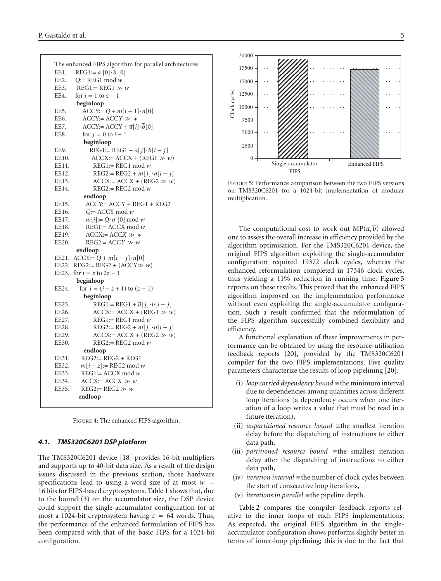|             | The enhanced FIPS algorithm for parallel architectures    |
|-------------|-----------------------------------------------------------|
| EE1.        | $REG1 := \overline{a} [0] \cdot \overline{b} [0]$         |
| <b>EE2.</b> | $Q = \text{REG1} \mod w$                                  |
| EE3.        | $REG1 := REG1 \gg w$                                      |
| EE4.        | for $i = 1$ to $z - 1$                                    |
|             | beginloop                                                 |
| EE5.        | $\text{ACCY} = Q + m[i-1] \cdot n[0]$                     |
| EE6.        | $ACCY$ := $ACCY \gg w$                                    |
| EE7.        | $ACCY = ACCY + \overline{a}[i] \cdot \overline{b}[0]$     |
| EE8.        | for $j = 0$ to $i - 1$                                    |
|             | beginloop                                                 |
| EE9.        | REG1:= REG1 + $\overline{a}[j] \cdot \overline{b}[i - j]$ |
| EE10.       | $ACCX$ := $ACCX + (REG1 \gg w)$                           |
| EE11.       | $REG1 := REG1 \text{ mod } w$                             |
| EE12.       | REG2:= REG2 + $m[j] \cdot n[i - j]$                       |
| EE13.       | $ACCX$ := $ACCX + (REG2 \gg w)$                           |
| EE14.       | $REG2 := REG2 \mod w$                                     |
|             | endloop                                                   |
| EE15.       | $ACCY = ACCY + REG1 + REG2$                               |
| EE16.       | $Q = ACCY \mod w$                                         |
| EE17.       | $m[i]=Q \cdot n'[0] \bmod w$                              |
| EE18.       | $REG1 = ACCX \mod w$                                      |
| EE19.       | $ACCX$ := $ACCX \gg w$                                    |
| EE20.       | $REG2:=ACCY \gg w$                                        |
|             | endloop                                                   |
| EE21.       | $\text{ACCY} := Q + m[i - j] \cdot n[0]$                  |
| EE22.       | $REG2 := REG2 + (ACCY \gg w)$                             |
| EE23.       | for $i = z$ to $2z - 1$                                   |
|             | beginloop                                                 |
| EE24.       | for $j = (i - z + 1)$ to $(z - 1)$                        |
|             | beginloop                                                 |
| EE25.       | REG1:= REG1 + $\overline{a}[j] \cdot \overline{b}[i-j]$   |
| EE26.       | $ACCX$ := $ACCX + (REG1 \gg w)$                           |
| EE27.       | $REG1 := REG1 \mod w$                                     |
| EE28.       | REG2:= REG2 + $m[i] \cdot n[i - j]$                       |
| EE29.       | $ACCX$ := $ACCX + (REG2 \gg w)$                           |
| EE30.       | $REG2:=REG2 \mod w$                                       |
|             | endloop                                                   |
| EE31.       | $REG2 := REG2 + REG1$                                     |
| EE32.       | $m[i-z]$ := REG2 mod w                                    |
| EE33.       | $REG1 = ACCX \mod w$                                      |
| EE34.       | $ACCX = ACCX \gg w$                                       |
| EE35.       | $REG2 := REG2 \gg w$                                      |
|             | endloop                                                   |
|             |                                                           |

Figure 4: The enhanced FIPS algorithm.

## *4.1. TMS320C6201 DSP platform*

The TMS320C6201 device [18] provides 16-bit multipliers and supports up to 40-bit data size. As a result of the design issues discussed in the previous section, those hardware specifications lead to using a word size of at most  $w =$ 16 bits for FIPS-based cryptosystems. Table 1 shows that, due to the bound (3) on the accumulator size, the DSP device could support the single-accumulator configuration for at most a 1024-bit cryptosystem having  $z = 64$  words. Thus, the performance of the enhanced formulation of FIPS has been compared with that of the basic FIPS for a 1024-bit configuration.



Figure 5: Performance comparison between the two FIPS versions on TMS320C6201 for a 1024-bit implementation of modular multiplication.

The computational cost to work out  $MP(\overline{a}, \overline{b})$  allowed one to assess the overall increase in efficiency provided by the algorithm optimisation. For the TMS320C6201 device, the original FIPS algorithm exploiting the single-accumulator configuration required 19372 clock cycles, whereas the enhanced reformulation completed in 17346 clock cycles, thus yielding a 11% reduction in running time; Figure 5 reports on these results. This proved that the enhanced FIPS algorithm improved on the implementation performance without even exploiting the single-accumulator configuration. Such a result confirmed that the reformulation of the FIPS algorithm successfully combined flexibility and efficiency.

A functional explanation of these improvements in performance can be obtained by using the resource-utilisation feedback reports [20], provided by the TMS320C6201 compiler for the two FIPS implementations. Five quality parameters characterize the results of loop pipelining [20]:

- (i) *loop carried dependency bound* ≡the minimum interval due to dependencies among quantities across different loop iterations (a dependency occurs when one iteration of a loop writes a value that must be read in a future iteration),
- (ii) *unpartitioned resource bound* ≡the smallest iteration delay before the dispatching of instructions to either data path,
- (iii) *partitioned resource bound* ≡the smallest iteration delay after the dispatching of instructions to either data path,
- (iv) *iteration interval* ≡the number of clock cycles between the start of consecutive loop iterations,
- (v) *iterations in parallel* ≡the pipeline depth.

Table 2 compares the compiler feedback reports relative to the inner loops of each FIPS implementations. As expected, the original FIPS algorithm in the singleaccumulator configuration shows performs slightly better in terms of inner-loop pipelining; this is due to the fact that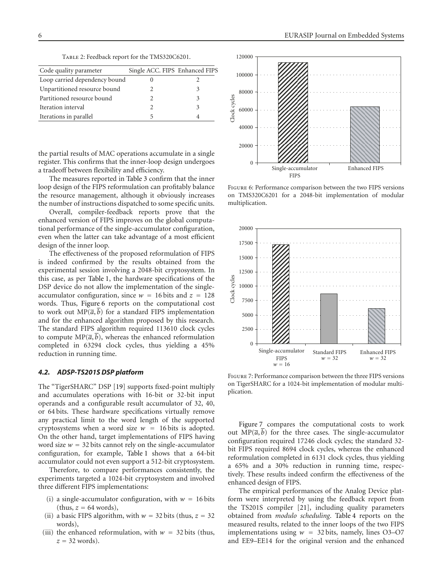Table 2: Feedback report for the TMS320C6201.

| Code quality parameter        | Single ACC. FIPS Enhanced FIPS |  |
|-------------------------------|--------------------------------|--|
| Loop carried dependency bound |                                |  |
| Unpartitioned resource bound  |                                |  |
| Partitioned resource bound    |                                |  |
| Iteration interval            |                                |  |
| Iterations in parallel        |                                |  |

the partial results of MAC operations accumulate in a single register. This confirms that the inner-loop design undergoes a tradeoff between flexibility and efficiency.

The measures reported in Table 3 confirm that the inner loop design of the FIPS reformulation can profitably balance the resource management, although it obviously increases the number of instructions dispatched to some specific units.

Overall, compiler-feedback reports prove that the enhanced version of FIPS improves on the global computational performance of the single-accumulator configuration, even when the latter can take advantage of a most efficient design of the inner loop.

The effectiveness of the proposed reformulation of FIPS is indeed confirmed by the results obtained from the experimental session involving a 2048-bit cryptosystem. In this case, as per Table 1, the hardware specifications of the DSP device do not allow the implementation of the singleaccumulator configuration, since  $w = 16$  bits and  $z = 128$ words. Thus, Figure 6 reports on the computational cost to work out  $MP(\overline{a}, \overline{b})$  for a standard FIPS implementation and for the enhanced algorithm proposed by this research. The standard FIPS algorithm required 113610 clock cycles to compute  $MP(\overline{a}, b)$ , whereas the enhanced reformulation completed in 63294 clock cycles, thus yielding a 45% reduction in running time.

#### *4.2. ADSP-TS201S DSP platform*

The "TigerSHARC" DSP [19] supports fixed-point multiply and accumulates operations with 16-bit or 32-bit input operands and a configurable result accumulator of 32, 40, or 64 bits. These hardware specifications virtually remove any practical limit to the word length of the supported cryptosystems when a word size  $w = 16$  bits is adopted. On the other hand, target implementations of FIPS having word size  $w = 32$  bits cannot rely on the single-accumulator configuration, for example, Table 1 shows that a 64-bit accumulator could not even support a 512-bit cryptosystem.

Therefore, to compare performances consistently, the experiments targeted a 1024-bit cryptosystem and involved three different FIPS implementations:

- (i) a single-accumulator configuration, with  $w = 16$  bits  $(this, z = 64 words),$
- (ii) a basic FIPS algorithm, with  $w = 32$  bits (thus,  $z = 32$ ) words),
- (iii) the enhanced reformulation, with  $w = 32$  bits (thus,  $z = 32$  words).



Figure 6: Performance comparison between the two FIPS versions on TMS320C6201 for a 2048-bit implementation of modular multiplication.



Figure 7: Performance comparison between the three FIPS versions on TigerSHARC for a 1024-bit implementation of modular multiplication.

Figure 7 compares the computational costs to work out  $MP(\overline{a}, \overline{b})$  for the three cases. The single-accumulator configuration required 17246 clock cycles; the standard 32 bit FIPS required 8694 clock cycles, whereas the enhanced reformulation completed in 6131 clock cycles, thus yielding a 65% and a 30% reduction in running time, respectively. These results indeed confirm the effectiveness of the enhanced design of FIPS.

The empirical performances of the Analog Device platform were interpreted by using the feedback report from the TS201S compiler [21], including quality parameters obtained from *modulo scheduling*. Table 4 reports on the measured results, related to the inner loops of the two FIPS implementations using  $w = 32$  bits, namely, lines O3–O7 and EE9–EE14 for the original version and the enhanced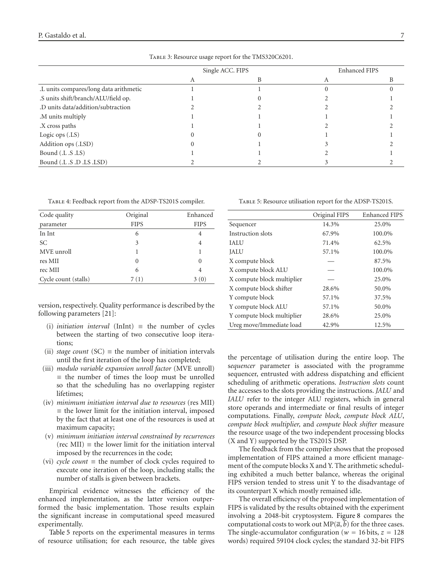| Single ACC. FIPS |  | <b>Enhanced FIPS</b> |  |
|------------------|--|----------------------|--|
|                  |  |                      |  |
|                  |  |                      |  |
|                  |  |                      |  |
|                  |  |                      |  |
|                  |  |                      |  |
|                  |  |                      |  |
|                  |  |                      |  |
|                  |  |                      |  |
|                  |  |                      |  |
|                  |  |                      |  |
|                  |  |                      |  |

Table 3: Resource usage report for the TMS320C6201.

| TABLE 4: Feedback report from the ADSP-TS201S compiler. |  |
|---------------------------------------------------------|--|
|---------------------------------------------------------|--|

| Code quality         | Original    | Enhanced    |
|----------------------|-------------|-------------|
| parameter            | <b>FIPS</b> | <b>FIPS</b> |
| In Int               | 6           | 4           |
| SC                   | 3           | 4           |
| MVE unroll           | 1           |             |
| res MII              | 0           | 0           |
| rec MII              | 6           | 4           |
| Cycle count (stalls) | 7 (1)       | (0)         |

version, respectively. Quality performance is described by the following parameters [21]:

- (i) *initiation interval* (InInt) ≡ the number of cycles between the starting of two consecutive loop iterations;
- (ii) *stage count* (SC)  $\equiv$  the number of initiation intervals until the first iteration of the loop has completed;
- (iii) *modulo variable expansion unroll factor* (MVE unroll)  $\equiv$  the number of times the loop must be unrolled so that the scheduling has no overlapping register lifetimes;
- (iv) *minimum initiation interval due to resources* (res MII)  $\equiv$  the lower limit for the initiation interval, imposed by the fact that at least one of the resources is used at maximum capacity;
- (v) *minimum initiation interval constrained by recurrences*  $(\text{rec} \text{ MII}) \equiv \text{the lower limit for the initiation interval}$ imposed by the recurrences in the code;
- (vi) *cycle count*  $\equiv$  the number of clock cycles required to execute one iteration of the loop, including stalls; the number of stalls is given between brackets.

Empirical evidence witnesses the efficiency of the enhanced implementation, as the latter version outperformed the basic implementation. Those results explain the significant increase in computational speed measured experimentally.

Table 5 reports on the experimental measures in terms of resource utilisation; for each resource, the table gives

|                            | Original FIPS | <b>Enhanced FIPS</b> |
|----------------------------|---------------|----------------------|
| Sequencer                  | 14.3%         | 25.0%                |
| Instruction slots          | 67.9%         | 100.0%               |
| <b>IALU</b>                | 71.4%         | 62.5%                |
| <b>JALU</b>                | 57.1%         | 100.0%               |
| X compute block            |               | 87.5%                |
| X compute block ALU        |               | 100.0%               |
| X compute block multiplier |               | 25.0%                |
| X compute block shifter    | 28.6%         | 50.0%                |
| Y compute block            | 57.1%         | 37.5%                |
| Y compute block ALU        | 57.1%         | 50.0%                |
| Y compute block multiplier | 28.6%         | 25.0%                |
| Ureg move/Immediate load   | 42.9%         | 12.5%                |

the percentage of utilisation during the entire loop. The s*equencer* parameter is associated with the programme sequencer, entrusted with address dispatching and efficient scheduling of arithmetic operations. *Instruction slots* count the accesses to the slots providing the instructions. *JALU* and *IALU* refer to the integer ALU registers, which in general store operands and intermediate or final results of integer computations. Finally, *compute block*, *compute block ALU*, *compute block multiplier,* and *compute block shifter* measure the resource usage of the two independent processing blocks (X and Y) supported by the TS201S DSP.

The feedback from the compiler shows that the proposed implementation of FIPS attained a more efficient management of the compute blocks X and Y. The arithmetic scheduling exhibited a much better balance, whereas the original FIPS version tended to stress unit Y to the disadvantage of its counterpart X which mostly remained idle.

The overall efficiency of the proposed implementation of FIPS is validated by the results obtained with the experiment involving a 2048-bit cryptosystem. Figure 8 compares the computational costs to work out  $MP(\overline{a}, \overline{b})$  for the three cases. The single-accumulator configuration ( $w = 16$  bits,  $z = 128$ ) words) required 59104 clock cycles; the standard 32-bit FIPS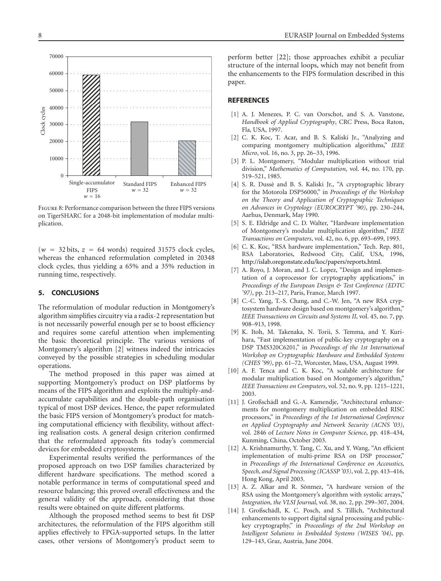50000 40000 Clock cycles Clock cycles 30000 20000 10000  $\Omega$ Single-accumulator Standard FIPS Enhanced FIPS FIPS  $w = 32$  $w = 32$  $w = 16$ 

Figure 8: Performance comparison between the three FIPS versions on TigerSHARC for a 2048-bit implementation of modular multiplication.

 $(w = 32 \text{ bits}, z = 64 \text{ words})$  required 31575 clock cycles, whereas the enhanced reformulation completed in 20348 clock cycles, thus yielding a 65% and a 35% reduction in running time, respectively.

#### **5. CONCLUSIONS**

The reformulation of modular reduction in Montgomery's algorithm simplifies circuitry via a radix-2 representation but is not necessarily powerful enough per se to boost efficiency and requires some careful attention when implementing the basic theoretical principle. The various versions of Montgomery's algorithm [2] witness indeed the intricacies conveyed by the possible strategies in scheduling modular operations.

The method proposed in this paper was aimed at supporting Montgomery's product on DSP platforms by means of the FIPS algorithm and exploits the multiply-andaccumulate capabilities and the double-path organisation typical of most DSP devices. Hence, the paper reformulated the basic FIPS version of Montgomery's product for matching computational efficiency with flexibility, without affecting realisation costs. A general design criterion confirmed that the reformulated approach fits today's commercial devices for embedded cryptosystems.

Experimental results verified the performances of the proposed approach on two DSP families characterized by different hardware specifications. The method scored a notable performance in terms of computational speed and resource balancing; this proved overall effectiveness and the general validity of the approach, considering that those results were obtained on quite different platforms.

Although the proposed method seems to best fit DSP architectures, the reformulation of the FIPS algorithm still applies effectively to FPGA-supported setups. In the latter cases, other versions of Montgomery's product seem to perform better [22]; those approaches exhibit a peculiar structure of the internal loops, which may not benefit from the enhancements to the FIPS formulation described in this paper.

#### **REFERENCES**

- [1] A. J. Menezes, P. C. van Oorschot, and S. A. Vanstone, *Handbook of Applied Cryptography*, CRC Press, Boca Raton, Fla, USA, 1997.
- [2] C. K. Koc, T. Acar, and B. S. Kaliski Jr., "Analyzing and comparing montgomery multiplication algorithms," *IEEE Micro*, vol. 16, no. 3, pp. 26–33, 1996.
- [3] P. L. Montgomery, "Modular multiplication without trial division," *Mathematics of Computation*, vol. 44, no. 170, pp. 519–521, 1985.
- [4] S. R. Dussè and B. S. Kaliski Jr., "A cryptographic library for the Motorola DSP56000," in *Proceedings of the Workshop on the Theory and Application of Cryptographic Techniques on Advances in Cryptology (EUROCRYPT '90)*, pp. 230–244, Aarhus, Denmark, May 1990.
- [5] S. E. Eldridge and C. D. Walter, "Hardware implementation of Montgomery's modular multiplication algorithm," *IEEE Transactions on Computers*, vol. 42, no. 6, pp. 693–699, 1993.
- [6] C. K. Koc, "RSA hardware implementation," Tech. Rep. 801, RSA Laboratories, Redwood City, Calif, USA, 1996, http://islab.oregonstate.edu/koc/papers/reports.html.
- [7] A. Royo, J. Moran, and J. C. Lopez, "Design and implementation of a coprocessor for cryptography applications," in *Proceedings of the European Design & Test Conference (EDTC '97)*, pp. 213–217, Paris, France, March 1997.
- [8] C.-C. Yang, T.-S. Chang, and C.-W. Jen, "A new RSA cryptosystem hardware design based on montgomery's algorithm," *IEEE Transactions on Circuits and Systems II*, vol. 45, no. 7, pp. 908–913, 1998.
- [9] K. Itoh, M. Takenaka, N. Torii, S. Temma, and Y. Kurihara, "Fast implementation of public-key cryptography on a DSP TMS320C6201," in *Proceedings of the 1st International Workshop on Cryptographic Hardware and Embedded Systems (CHES '99)*, pp. 61–72, Worcester, Mass, USA, August 1999.
- [10] A. F. Tenca and C. K. Koc, "A scalable architecture for modular multiplication based on Montgomery's algorithm," *IEEE Transactions on Computers*, vol. 52, no. 9, pp. 1215–1221, 2003.
- [11] J. Großschädl and G.-A. Kamendje, "Architectural enhancements for montgomery multiplication on embedded RISC processors," in *Proceedings of the 1st International Conference on Applied Cryptography and Network Security (ACNS '03)*, vol. 2846 of *Lecture Notes in Computer Science*, pp. 418–434, Kunming, China, October 2003.
- [12] A. Krishnamurthy, Y. Tang, C. Xu, and Y. Wang, "An efficient implementation of multi-prime RSA on DSP processor," in *Proceedings of the International Conference on Accoustics, Speech, and Signal Processing (ICASSP '03)*, vol. 2, pp. 413–416, Hong Kong, April 2003.
- [13] A. Z. Alkar and R. Sönmez, "A hardware version of the RSA using the Montgomery's algorithm with systolic arrays," *Integration, the VLSI Journal*, vol. 38, no. 2, pp. 299–307, 2004.
- [14] J. Großschädl, K. C. Posch, and S. Tillich, "Architectural enhancements to support digital signal processing and publickey cryptography," in *Proceedings of the 2nd Workshop on Intelligent Solutions in Embedded Systems (WISES '04)*, pp. 129–143, Graz, Austria, June 2004.